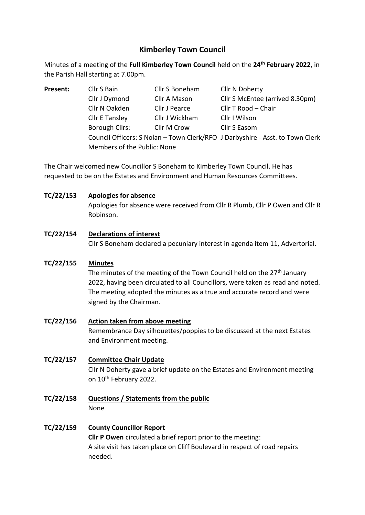# **Kimberley Town Council**

Minutes of a meeting of the **Full Kimberley Town Council** held on the **24th February 2022**, in the Parish Hall starting at 7.00pm.

**Present:** Cllr S Bain Cllr S Boneham Cllr N Doherty Cllr J Dymond Cllr A Mason Cllr S McEntee (arrived 8.30pm) Cllr N Oakden Cllr J Pearce Cllr T Rood – Chair Cllr E Tansley Cllr J Wickham Cllr I Wilson Borough Cllrs: Cllr M Crow Cllr S Easom Council Officers: S Nolan – Town Clerk/RFO J Darbyshire - Asst. to Town Clerk Members of the Public: None

The Chair welcomed new Councillor S Boneham to Kimberley Town Council. He has requested to be on the Estates and Environment and Human Resources Committees.

## **TC/22/153 Apologies for absence**

Apologies for absence were received from Cllr R Plumb, Cllr P Owen and Cllr R Robinson.

## **TC/22/154 Declarations of interest**

Cllr S Boneham declared a pecuniary interest in agenda item 11, Advertorial.

### **TC/22/155 Minutes**

The minutes of the meeting of the Town Council held on the  $27<sup>th</sup>$  January 2022, having been circulated to all Councillors, were taken as read and noted. The meeting adopted the minutes as a true and accurate record and were signed by the Chairman.

## **TC/22/156 Action taken from above meeting** Remembrance Day silhouettes/poppies to be discussed at the next Estates and Environment meeting.

## **TC/22/157 Committee Chair Update** Cllr N Doherty gave a brief update on the Estates and Environment meeting on 10th February 2022.

**TC/22/158 Questions / Statements from the public** None

# **TC/22/159 County Councillor Report**

**Cllr P Owen** circulated a brief report prior to the meeting: A site visit has taken place on Cliff Boulevard in respect of road repairs needed.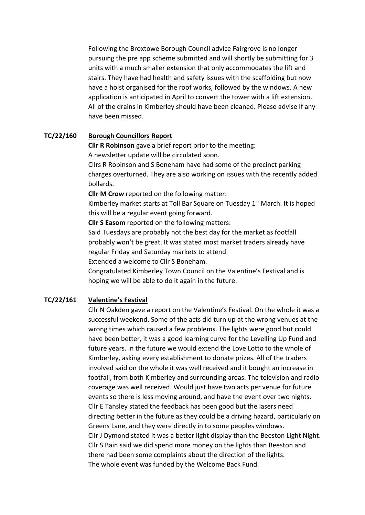Following the Broxtowe Borough Council advice Fairgrove is no longer pursuing the pre app scheme submitted and will shortly be submitting for 3 units with a much smaller extension that only accommodates the lift and stairs. They have had health and safety issues with the scaffolding but now have a hoist organised for the roof works, followed by the windows. A new application is anticipated in April to convert the tower with a lift extension. All of the drains in Kimberley should have been cleaned. Please advise If any have been missed.

### **TC/22/160 Borough Councillors Report**

**Cllr R Robinson** gave a brief report prior to the meeting:

A newsletter update will be circulated soon.

Cllrs R Robinson and S Boneham have had some of the precinct parking charges overturned. They are also working on issues with the recently added bollards.

**Cllr M Crow** reported on the following matter:

Kimberley market starts at Toll Bar Square on Tuesday 1<sup>st</sup> March. It is hoped this will be a regular event going forward.

**Cllr S Easom** reported on the following matters:

Said Tuesdays are probably not the best day for the market as footfall probably won't be great. It was stated most market traders already have regular Friday and Saturday markets to attend.

Extended a welcome to Cllr S Boneham.

Congratulated Kimberley Town Council on the Valentine's Festival and is hoping we will be able to do it again in the future.

### **TC/22/161 Valentine's Festival**

Cllr N Oakden gave a report on the Valentine's Festival. On the whole it was a successful weekend. Some of the acts did turn up at the wrong venues at the wrong times which caused a few problems. The lights were good but could have been better, it was a good learning curve for the Levelling Up Fund and future years. In the future we would extend the Love Lotto to the whole of Kimberley, asking every establishment to donate prizes. All of the traders involved said on the whole it was well received and it bought an increase in footfall, from both Kimberley and surrounding areas. The television and radio coverage was well received. Would just have two acts per venue for future events so there is less moving around, and have the event over two nights. Cllr E Tansley stated the feedback has been good but the lasers need directing better in the future as they could be a driving hazard, particularly on Greens Lane, and they were directly in to some peoples windows. Cllr J Dymond stated it was a better light display than the Beeston Light Night. Cllr S Bain said we did spend more money on the lights than Beeston and there had been some complaints about the direction of the lights. The whole event was funded by the Welcome Back Fund.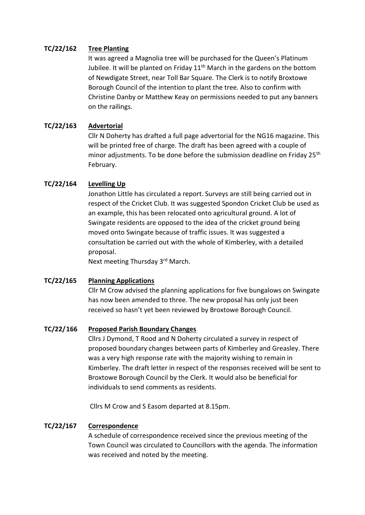## **TC/22/162 Tree Planting**

It was agreed a Magnolia tree will be purchased for the Queen's Platinum Jubilee. It will be planted on Friday  $11<sup>th</sup>$  March in the gardens on the bottom of Newdigate Street, near Toll Bar Square. The Clerk is to notify Broxtowe Borough Council of the intention to plant the tree. Also to confirm with Christine Danby or Matthew Keay on permissions needed to put any banners on the railings.

## **TC/22/163 Advertorial**

Cllr N Doherty has drafted a full page advertorial for the NG16 magazine. This will be printed free of charge. The draft has been agreed with a couple of minor adjustments. To be done before the submission deadline on Friday 25<sup>th</sup> February.

## **TC/22/164 Levelling Up**

Jonathon Little has circulated a report. Surveys are still being carried out in respect of the Cricket Club. It was suggested Spondon Cricket Club be used as an example, this has been relocated onto agricultural ground. A lot of Swingate residents are opposed to the idea of the cricket ground being moved onto Swingate because of traffic issues. It was suggested a consultation be carried out with the whole of Kimberley, with a detailed proposal.

Next meeting Thursday 3rd March.

### **TC/22/165 Planning Applications**

Cllr M Crow advised the planning applications for five bungalows on Swingate has now been amended to three. The new proposal has only just been received so hasn't yet been reviewed by Broxtowe Borough Council.

### **TC/22/166 Proposed Parish Boundary Changes**

Cllrs J Dymond, T Rood and N Doherty circulated a survey in respect of proposed boundary changes between parts of Kimberley and Greasley. There was a very high response rate with the majority wishing to remain in Kimberley. The draft letter in respect of the responses received will be sent to Broxtowe Borough Council by the Clerk. It would also be beneficial for individuals to send comments as residents.

Cllrs M Crow and S Easom departed at 8.15pm.

### **TC/22/167 Correspondence**

A schedule of correspondence received since the previous meeting of the Town Council was circulated to Councillors with the agenda. The information was received and noted by the meeting.